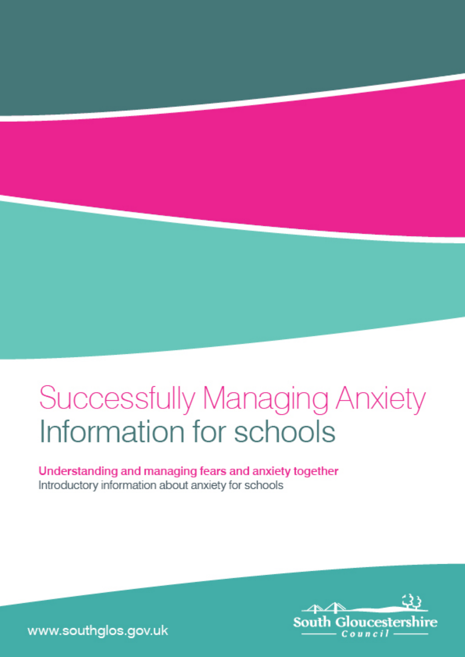# **Successfully Managing Anxiety** Information for schools

Understanding and managing fears and anxiety together Introductory information about anxiety for schools



www.southglos.gov.uk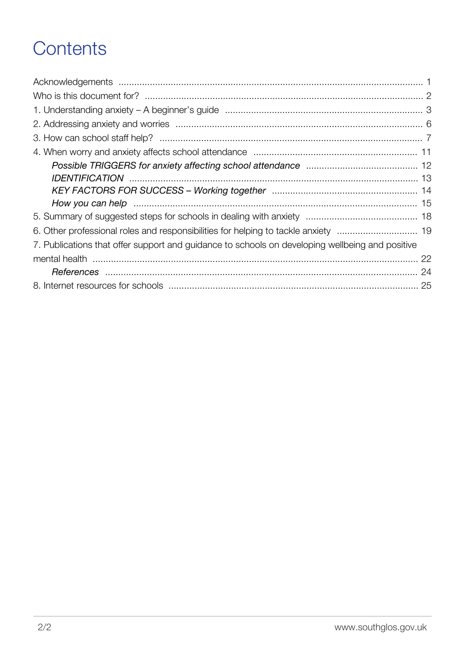### **Contents**

| 7. Publications that offer support and guidance to schools on developing wellbeing and positive |  |
|-------------------------------------------------------------------------------------------------|--|
|                                                                                                 |  |
|                                                                                                 |  |
|                                                                                                 |  |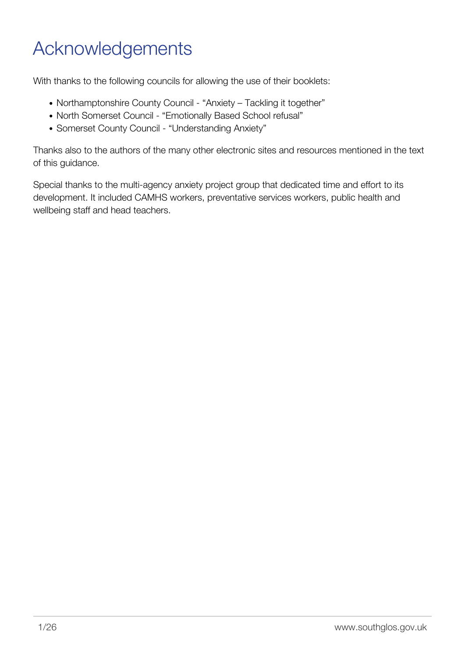### <span id="page-2-0"></span>Acknowledgements

With thanks to the following councils for allowing the use of their booklets:

- Northamptonshire County Council "Anxiety Tackling it together"
- North Somerset Council "Emotionally Based School refusal"
- Somerset County Council "Understanding Anxiety"

Thanks also to the authors of the many other electronic sites and resources mentioned in the text of this guidance.

Special thanks to the multi-agency anxiety project group that dedicated time and effort to its development. It included CAMHS workers, preventative services workers, public health and wellbeing staff and head teachers.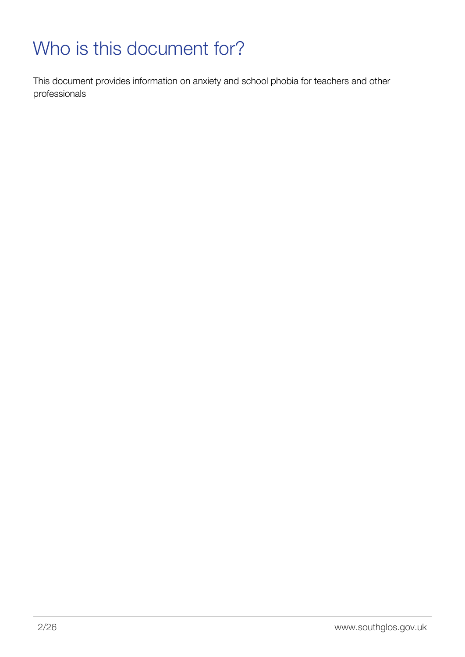## <span id="page-3-0"></span>Who is this document for?

This document provides information on anxiety and school phobia for teachers and other professionals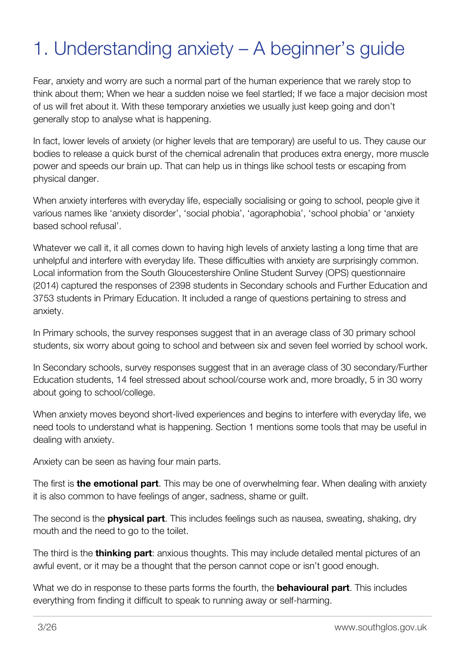## <span id="page-4-0"></span>1. Understanding anxiety – A beginner's guide

Fear, anxiety and worry are such a normal part of the human experience that we rarely stop to think about them; When we hear a sudden noise we feel startled; If we face a major decision most of us will fret about it. With these temporary anxieties we usually just keep going and don't generally stop to analyse what is happening.

In fact, lower levels of anxiety (or higher levels that are temporary) are useful to us. They cause our bodies to release a quick burst of the chemical adrenalin that produces extra energy, more muscle power and speeds our brain up. That can help us in things like school tests or escaping from physical danger.

When anxiety interferes with everyday life, especially socialising or going to school, people give it various names like 'anxiety disorder', 'social phobia', 'agoraphobia', 'school phobia' or 'anxiety based school refusal'.

Whatever we call it, it all comes down to having high levels of anxiety lasting a long time that are unhelpful and interfere with everyday life. These difficulties with anxiety are surprisingly common. Local information from the South Gloucestershire Online Student Survey (OPS) questionnaire (2014) captured the responses of 2398 students in Secondary schools and Further Education and 3753 students in Primary Education. It included a range of questions pertaining to stress and anxiety.

In Primary schools, the survey responses suggest that in an average class of 30 primary school students, six worry about going to school and between six and seven feel worried by school work.

In Secondary schools, survey responses suggest that in an average class of 30 secondary/Further Education students, 14 feel stressed about school/course work and, more broadly, 5 in 30 worry about going to school/college.

When anxiety moves beyond short-lived experiences and begins to interfere with everyday life, we need tools to understand what is happening. Section 1 mentions some tools that may be useful in dealing with anxiety.

Anxiety can be seen as having four main parts.

The first is **the emotional part**. This may be one of overwhelming fear. When dealing with anxiety it is also common to have feelings of anger, sadness, shame or guilt.

The second is the **physical part**. This includes feelings such as nausea, sweating, shaking, dry mouth and the need to go to the toilet.

The third is the **thinking part**: anxious thoughts. This may include detailed mental pictures of an awful event, or it may be a thought that the person cannot cope or isn't good enough.

What we do in response to these parts forms the fourth, the **behavioural part**. This includes everything from finding it difficult to speak to running away or self-harming.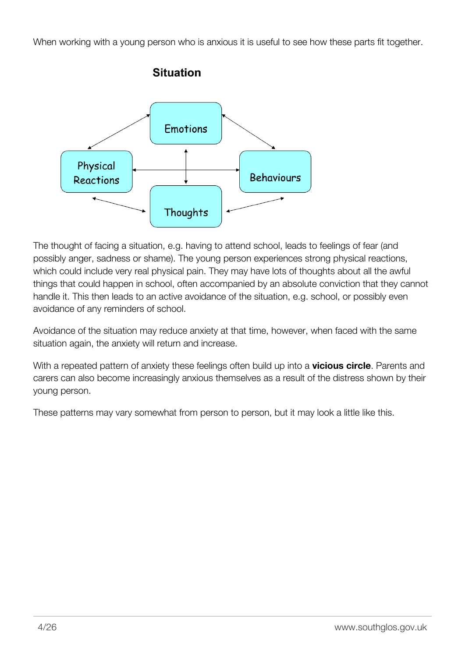When working with a young person who is anxious it is useful to see how these parts fit together.



The thought of facing a situation, e.g. having to attend school, leads to feelings of fear (and possibly anger, sadness or shame). The young person experiences strong physical reactions, which could include very real physical pain. They may have lots of thoughts about all the awful things that could happen in school, often accompanied by an absolute conviction that they cannot handle it. This then leads to an active avoidance of the situation, e.g. school, or possibly even avoidance of any reminders of school.

Avoidance of the situation may reduce anxiety at that time, however, when faced with the same situation again, the anxiety will return and increase.

With a repeated pattern of anxiety these feelings often build up into a **vicious circle**. Parents and carers can also become increasingly anxious themselves as a result of the distress shown by their young person.

These patterns may vary somewhat from person to person, but it may look a little like this.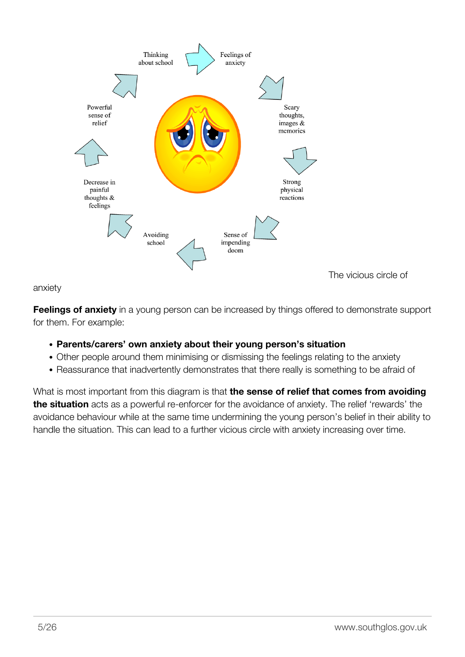

anxiety

**Feelings of anxiety** in a young person can be increased by things offered to demonstrate support for them. For example:

- **Parents/carers' own anxiety about their young person's situation**
- Other people around them minimising or dismissing the feelings relating to the anxiety
- Reassurance that inadvertently demonstrates that there really is something to be afraid of

What is most important from this diagram is that **the sense of relief that comes from avoiding the situation** acts as a powerful re-enforcer for the avoidance of anxiety. The relief 'rewards' the avoidance behaviour while at the same time undermining the young person's belief in their ability to handle the situation. This can lead to a further vicious circle with anxiety increasing over time.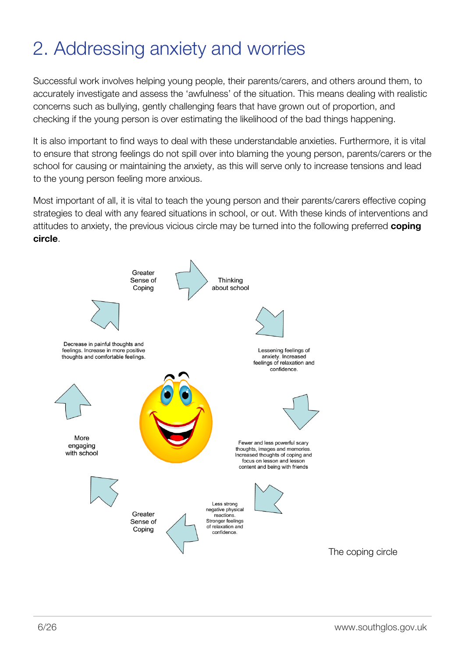### <span id="page-7-0"></span>2. Addressing anxiety and worries

Successful work involves helping young people, their parents/carers, and others around them, to accurately investigate and assess the 'awfulness' of the situation. This means dealing with realistic concerns such as bullying, gently challenging fears that have grown out of proportion, and checking if the young person is over estimating the likelihood of the bad things happening.

It is also important to find ways to deal with these understandable anxieties. Furthermore, it is vital to ensure that strong feelings do not spill over into blaming the young person, parents/carers or the school for causing or maintaining the anxiety, as this will serve only to increase tensions and lead to the young person feeling more anxious.

Most important of all, it is vital to teach the young person and their parents/carers effective coping strategies to deal with any feared situations in school, or out. With these kinds of interventions and attitudes to anxiety, the previous vicious circle may be turned into the following preferred **coping circle**.

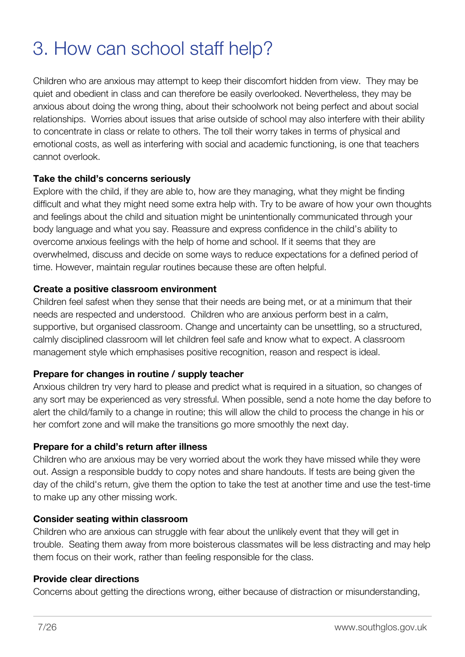### <span id="page-8-0"></span>3. How can school staff help?

Children who are anxious may attempt to keep their discomfort hidden from view. They may be quiet and obedient in class and can therefore be easily overlooked. Nevertheless, they may be anxious about doing the wrong thing, about their schoolwork not being perfect and about social relationships. Worries about issues that arise outside of school may also interfere with their ability to concentrate in class or relate to others. The toll their worry takes in terms of physical and emotional costs, as well as interfering with social and academic functioning, is one that teachers cannot overlook.

### **Take the child's concerns seriously**

Explore with the child, if they are able to, how are they managing, what they might be finding difficult and what they might need some extra help with. Try to be aware of how your own thoughts and feelings about the child and situation might be unintentionally communicated through your body language and what you say. Reassure and express confidence in the child's ability to overcome anxious feelings with the help of home and school. If it seems that they are overwhelmed, discuss and decide on some ways to reduce expectations for a defined period of time. However, maintain regular routines because these are often helpful.

### **Create a positive classroom environment**

Children feel safest when they sense that their needs are being met, or at a minimum that their needs are respected and understood. Children who are anxious perform best in a calm, supportive, but organised classroom. Change and uncertainty can be unsettling, so a structured, calmly disciplined classroom will let children feel safe and know what to expect. A classroom management style which emphasises positive recognition, reason and respect is ideal.

### **Prepare for changes in routine / supply teacher**

Anxious children try very hard to please and predict what is required in a situation, so changes of any sort may be experienced as very stressful. When possible, send a note home the day before to alert the child/family to a change in routine; this will allow the child to process the change in his or her comfort zone and will make the transitions go more smoothly the next day.

### **Prepare for a child's return after illness**

Children who are anxious may be very worried about the work they have missed while they were out. Assign a responsible buddy to copy notes and share handouts. If tests are being given the day of the child's return, give them the option to take the test at another time and use the test-time to make up any other missing work.

### **Consider seating within classroom**

Children who are anxious can struggle with fear about the unlikely event that they will get in trouble. Seating them away from more boisterous classmates will be less distracting and may help them focus on their work, rather than feeling responsible for the class.

### **Provide clear directions**

Concerns about getting the directions wrong, either because of distraction or misunderstanding,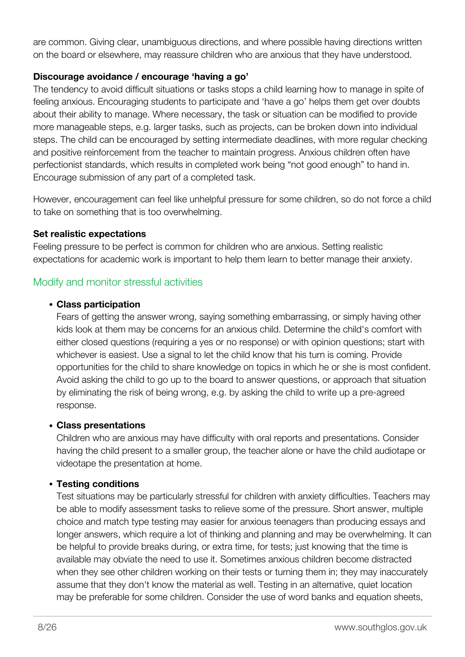are common. Giving clear, unambiguous directions, and where possible having directions written on the board or elsewhere, may reassure children who are anxious that they have understood.

### **Discourage avoidance / encourage 'having a go'**

The tendency to avoid difficult situations or tasks stops a child learning how to manage in spite of feeling anxious. Encouraging students to participate and 'have a go' helps them get over doubts about their ability to manage. Where necessary, the task or situation can be modified to provide more manageable steps, e.g. larger tasks, such as projects, can be broken down into individual steps. The child can be encouraged by setting intermediate deadlines, with more regular checking and positive reinforcement from the teacher to maintain progress. Anxious children often have perfectionist standards, which results in completed work being "not good enough" to hand in. Encourage submission of any part of a completed task.

However, encouragement can feel like unhelpful pressure for some children, so do not force a child to take on something that is too overwhelming.

### **Set realistic expectations**

Feeling pressure to be perfect is common for children who are anxious. Setting realistic expectations for academic work is important to help them learn to better manage their anxiety.

### Modify and monitor stressful activities

### **Class participation**

Fears of getting the answer wrong, saying something embarrassing, or simply having other kids look at them may be concerns for an anxious child. Determine the child's comfort with either closed questions (requiring a yes or no response) or with opinion questions; start with whichever is easiest. Use a signal to let the child know that his turn is coming. Provide opportunities for the child to share knowledge on topics in which he or she is most confident. Avoid asking the child to go up to the board to answer questions, or approach that situation by eliminating the risk of being wrong, e.g. by asking the child to write up a pre-agreed response.

### **Class presentations**

Children who are anxious may have difficulty with oral reports and presentations. Consider having the child present to a smaller group, the teacher alone or have the child audiotape or videotape the presentation at home.

### **Testing conditions**

Test situations may be particularly stressful for children with anxiety difficulties. Teachers may be able to modify assessment tasks to relieve some of the pressure. Short answer, multiple choice and match type testing may easier for anxious teenagers than producing essays and longer answers, which require a lot of thinking and planning and may be overwhelming. It can be helpful to provide breaks during, or extra time, for tests; just knowing that the time is available may obviate the need to use it. Sometimes anxious children become distracted when they see other children working on their tests or turning them in; they may inaccurately assume that they don't know the material as well. Testing in an alternative, quiet location may be preferable for some children. Consider the use of word banks and equation sheets,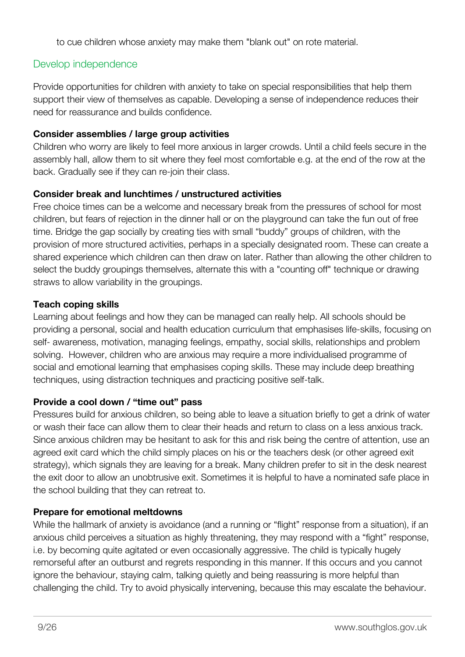to cue children whose anxiety may make them "blank out" on rote material.

### Develop independence

Provide opportunities for children with anxiety to take on special responsibilities that help them support their view of themselves as capable. Developing a sense of independence reduces their need for reassurance and builds confidence.

### **Consider assemblies / large group activities**

Children who worry are likely to feel more anxious in larger crowds. Until a child feels secure in the assembly hall, allow them to sit where they feel most comfortable e.g. at the end of the row at the back. Gradually see if they can re-join their class.

### **Consider break and lunchtimes / unstructured activities**

Free choice times can be a welcome and necessary break from the pressures of school for most children, but fears of rejection in the dinner hall or on the playground can take the fun out of free time. Bridge the gap socially by creating ties with small "buddy" groups of children, with the provision of more structured activities, perhaps in a specially designated room. These can create a shared experience which children can then draw on later. Rather than allowing the other children to select the buddy groupings themselves, alternate this with a "counting off" technique or drawing straws to allow variability in the groupings.

### **Teach coping skills**

Learning about feelings and how they can be managed can really help. All schools should be providing a personal, social and health education curriculum that emphasises life-skills, focusing on self- awareness, motivation, managing feelings, empathy, social skills, relationships and problem solving. However, children who are anxious may require a more individualised programme of social and emotional learning that emphasises coping skills. These may include deep breathing techniques, using distraction techniques and practicing positive self-talk.

### **Provide a cool down / "time out" pass**

Pressures build for anxious children, so being able to leave a situation briefly to get a drink of water or wash their face can allow them to clear their heads and return to class on a less anxious track. Since anxious children may be hesitant to ask for this and risk being the centre of attention, use an agreed exit card which the child simply places on his or the teachers desk (or other agreed exit strategy), which signals they are leaving for a break. Many children prefer to sit in the desk nearest the exit door to allow an unobtrusive exit. Sometimes it is helpful to have a nominated safe place in the school building that they can retreat to.

### **Prepare for emotional meltdowns**

While the hallmark of anxiety is avoidance (and a running or "flight" response from a situation), if an anxious child perceives a situation as highly threatening, they may respond with a "fight" response, i.e. by becoming quite agitated or even occasionally aggressive. The child is typically hugely remorseful after an outburst and regrets responding in this manner. If this occurs and you cannot ignore the behaviour, staying calm, talking quietly and being reassuring is more helpful than challenging the child. Try to avoid physically intervening, because this may escalate the behaviour.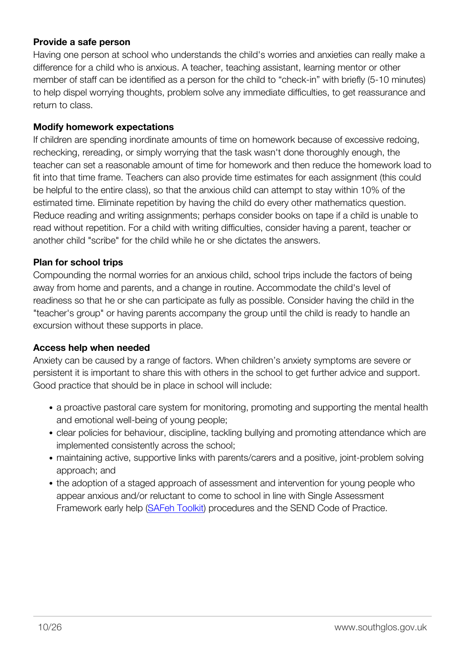### **Provide a safe person**

Having one person at school who understands the child's worries and anxieties can really make a difference for a child who is anxious. A teacher, teaching assistant, learning mentor or other member of staff can be identified as a person for the child to "check-in" with briefly (5-10 minutes) to help dispel worrying thoughts, problem solve any immediate difficulties, to get reassurance and return to class.

#### **Modify homework expectations**

If children are spending inordinate amounts of time on homework because of excessive redoing, rechecking, rereading, or simply worrying that the task wasn't done thoroughly enough, the teacher can set a reasonable amount of time for homework and then reduce the homework load to fit into that time frame. Teachers can also provide time estimates for each assignment (this could be helpful to the entire class), so that the anxious child can attempt to stay within 10% of the estimated time. Eliminate repetition by having the child do every other mathematics question. Reduce reading and writing assignments; perhaps consider books on tape if a child is unable to read without repetition. For a child with writing difficulties, consider having a parent, teacher or another child "scribe" for the child while he or she dictates the answers.

### **Plan for school trips**

Compounding the normal worries for an anxious child, school trips include the factors of being away from home and parents, and a change in routine. Accommodate the child's level of readiness so that he or she can participate as fully as possible. Consider having the child in the "teacher's group" or having parents accompany the group until the child is ready to handle an excursion without these supports in place.

### **Access help when needed**

Anxiety can be caused by a range of factors. When children's anxiety symptoms are severe or persistent it is important to share this with others in the school to get further advice and support. Good practice that should be in place in school will include:

- a proactive pastoral care system for monitoring, promoting and supporting the mental health and emotional well-being of young people;
- clear policies for behaviour, discipline, tackling bullying and promoting attendance which are implemented consistently across the school;
- maintaining active, supportive links with parents/carers and a positive, joint-problem solving approach; and
- the adoption of a staged approach of assessment and intervention for young people who appear anxious and/or reluctant to come to school in line with Single Assessment Framework early help [\(SAFeh Toolkit\)](http://sites.southglos.gov.uk/safeguarding/children/i-am-a-professional/single-assessment-for-early-help-safeh-toolkit/) procedures and the SEND Code of Practice.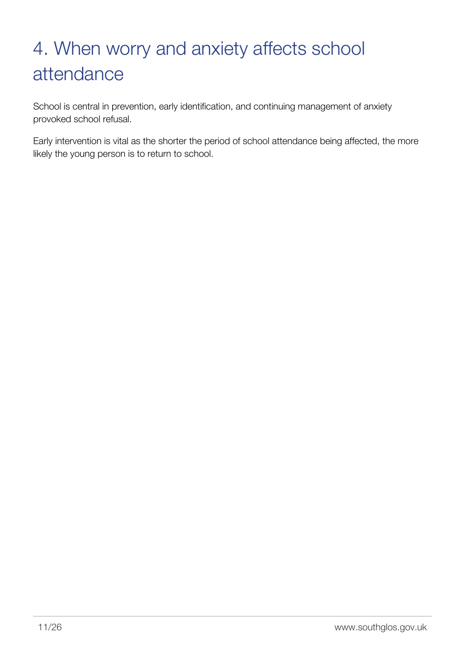# <span id="page-12-0"></span>4. When worry and anxiety affects school attendance

School is central in prevention, early identification, and continuing management of anxiety provoked school refusal.

Early intervention is vital as the shorter the period of school attendance being affected, the more likely the young person is to return to school.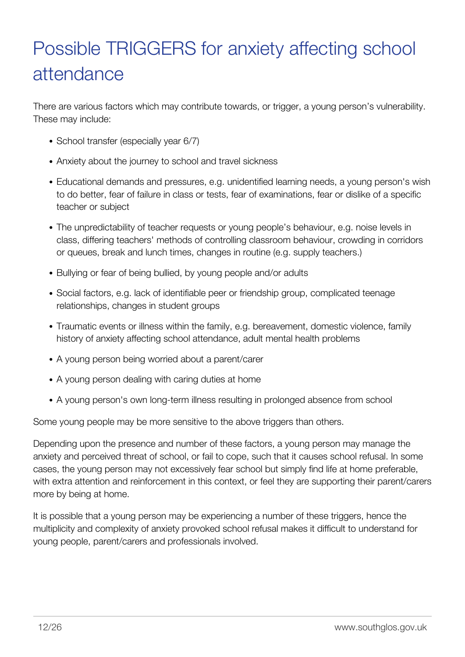# <span id="page-13-0"></span>Possible TRIGGERS for anxiety affecting school attendance

There are various factors which may contribute towards, or trigger, a young person's vulnerability. These may include:

- School transfer (especially year 6/7)
- Anxiety about the journey to school and travel sickness
- Educational demands and pressures, e.g. unidentified learning needs, a young person's wish to do better, fear of failure in class or tests, fear of examinations, fear or dislike of a specific teacher or subject
- The unpredictability of teacher requests or young people's behaviour, e.g. noise levels in class, differing teachers' methods of controlling classroom behaviour, crowding in corridors or queues, break and lunch times, changes in routine (e.g. supply teachers.)
- Bullying or fear of being bullied, by young people and/or adults
- Social factors, e.g. lack of identifiable peer or friendship group, complicated teenage relationships, changes in student groups
- Traumatic events or illness within the family, e.g. bereavement, domestic violence, family history of anxiety affecting school attendance, adult mental health problems
- A young person being worried about a parent/carer
- A young person dealing with caring duties at home
- A young person's own long-term illness resulting in prolonged absence from school

Some young people may be more sensitive to the above triggers than others.

Depending upon the presence and number of these factors, a young person may manage the anxiety and perceived threat of school, or fail to cope, such that it causes school refusal. In some cases, the young person may not excessively fear school but simply find life at home preferable, with extra attention and reinforcement in this context, or feel they are supporting their parent/carers more by being at home.

It is possible that a young person may be experiencing a number of these triggers, hence the multiplicity and complexity of anxiety provoked school refusal makes it difficult to understand for young people, parent/carers and professionals involved.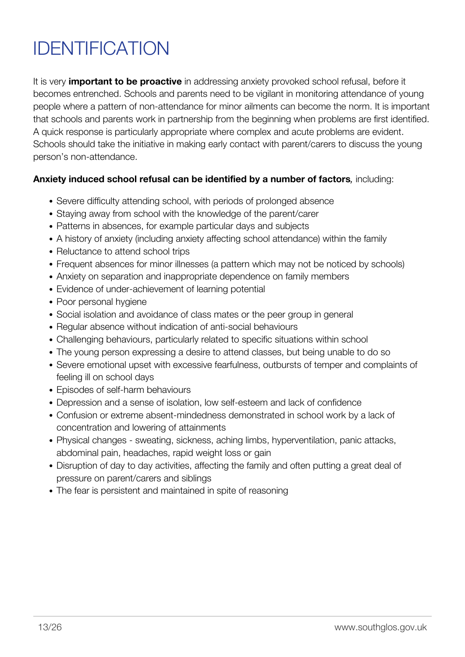# <span id="page-14-0"></span>IDENTIFICATION

It is very **important to be proactive** in addressing anxiety provoked school refusal, before it becomes entrenched. Schools and parents need to be vigilant in monitoring attendance of young people where a pattern of non-attendance for minor ailments can become the norm. It is important that schools and parents work in partnership from the beginning when problems are first identified. A quick response is particularly appropriate where complex and acute problems are evident. Schools should take the initiative in making early contact with parent/carers to discuss the young person's non-attendance.

### **Anxiety induced school refusal can be identified by a number of factors***,* including:

- Severe difficulty attending school, with periods of prolonged absence
- Staying away from school with the knowledge of the parent/carer
- Patterns in absences, for example particular days and subjects
- A history of anxiety (including anxiety affecting school attendance) within the family
- Reluctance to attend school trips
- Frequent absences for minor illnesses (a pattern which may not be noticed by schools)
- Anxiety on separation and inappropriate dependence on family members
- Evidence of under-achievement of learning potential
- Poor personal hygiene
- Social isolation and avoidance of class mates or the peer group in general
- Regular absence without indication of anti-social behaviours
- Challenging behaviours, particularly related to specific situations within school
- The young person expressing a desire to attend classes, but being unable to do so
- Severe emotional upset with excessive fearfulness, outbursts of temper and complaints of feeling ill on school days
- Episodes of self-harm behaviours
- Depression and a sense of isolation, low self-esteem and lack of confidence
- Confusion or extreme absent-mindedness demonstrated in school work by a lack of concentration and lowering of attainments
- Physical changes sweating, sickness, aching limbs, hyperventilation, panic attacks, abdominal pain, headaches, rapid weight loss or gain
- Disruption of day to day activities, affecting the family and often putting a great deal of pressure on parent/carers and siblings
- The fear is persistent and maintained in spite of reasoning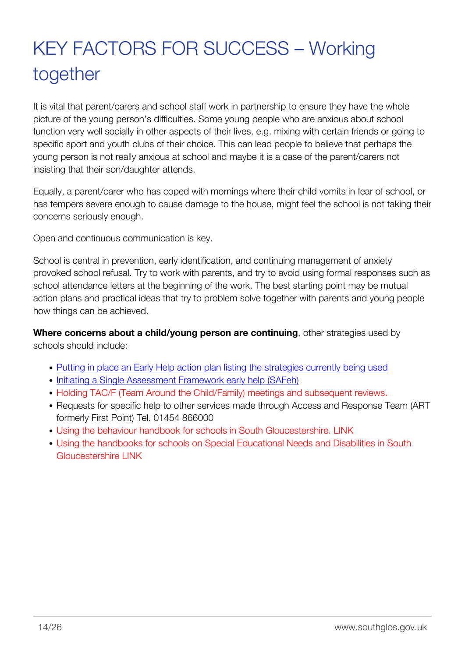# <span id="page-15-0"></span>KEY FACTORS FOR SUCCESS – Working together

It is vital that parent/carers and school staff work in partnership to ensure they have the whole picture of the young person's difficulties. Some young people who are anxious about school function very well socially in other aspects of their lives, e.g. mixing with certain friends or going to specific sport and youth clubs of their choice. This can lead people to believe that perhaps the young person is not really anxious at school and maybe it is a case of the parent/carers not insisting that their son/daughter attends.

Equally, a parent/carer who has coped with mornings where their child vomits in fear of school, or has tempers severe enough to cause damage to the house, might feel the school is not taking their concerns seriously enough.

Open and continuous communication is key.

School is central in prevention, early identification, and continuing management of anxiety provoked school refusal. Try to work with parents, and try to avoid using formal responses such as school attendance letters at the beginning of the work. The best starting point may be mutual action plans and practical ideas that try to problem solve together with parents and young people how things can be achieved.

**Where concerns about a child/young person are continuing**, other strategies used by schools should include:

- [Putting in place an Early Help action plan listing the strategies currently being used](http://sites.southglos.gov.uk/safeguarding/children/i-am-a-professional/)
- [Initiating a Single Assessment Framework early help \(SAFeh\)](http://sites.southglos.gov.uk/safeguarding/children/i-am-a-professional/)
- Holding TAC/F (Team Around the Child/Family) meetings and subsequent reviews.
- Requests for specific help to other services made through Access and Response Team (ART) formerly First Point) Tel. 01454 866000
- Using the behaviour handbook for schools in South Gloucestershire. LINK
- Using the handbooks for schools on Special Educational Needs and Disabilities in South Gloucestershire LINK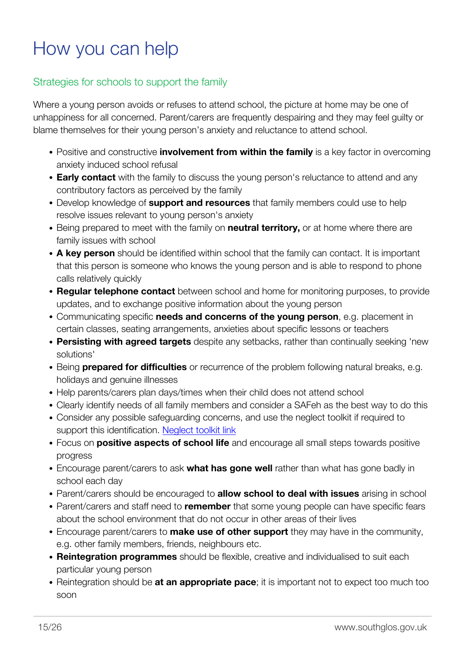### <span id="page-16-0"></span>How you can help

### Strategies for schools to support the family

Where a young person avoids or refuses to attend school, the picture at home may be one of unhappiness for all concerned. Parent/carers are frequently despairing and they may feel guilty or blame themselves for their young person's anxiety and reluctance to attend school.

- Positive and constructive **involvement from within the family** is a key factor in overcoming anxiety induced school refusal
- **Early contact** with the family to discuss the young person's reluctance to attend and any contributory factors as perceived by the family
- Develop knowledge of **support and resources** that family members could use to help resolve issues relevant to young person's anxiety
- Being prepared to meet with the family on **neutral territory**, or at home where there are family issues with school
- **A key person** should be identified within school that the family can contact. It is important that this person is someone who knows the young person and is able to respond to phone calls relatively quickly
- **Regular telephone contact** between school and home for monitoring purposes, to provide updates, and to exchange positive information about the young person
- Communicating specific **needs and concerns of the young person**, e.g. placement in certain classes, seating arrangements, anxieties about specific lessons or teachers
- **Persisting with agreed targets** despite any setbacks, rather than continually seeking 'new solutions'
- Being **prepared for difficulties** or recurrence of the problem following natural breaks, e.g. holidays and genuine illnesses
- Help parents/carers plan days/times when their child does not attend school
- Clearly identify needs of all family members and consider a SAFeh as the best way to do this
- Consider any possible safeguarding concerns, and use the neglect toolkit if required to support this identification. [Neglect toolkit link](http://sites.southglos.gov.uk/safeguarding/children/i-am-a-professional/safeguarding-guidance-policies-and-plans/)
- Focus on **positive aspects of school life** and encourage all small steps towards positive progress
- Encourage parent/carers to ask **what has gone well** rather than what has gone badly in school each day
- Parent/carers should be encouraged to **allow school to deal with issues** arising in school
- Parent/carers and staff need to **remember** that some young people can have specific fears about the school environment that do not occur in other areas of their lives
- Encourage parent/carers to **make use of other support** they may have in the community, e.g. other family members, friends, neighbours etc.
- **Reintegration programmes** should be flexible, creative and individualised to suit each particular young person
- Reintegration should be **at an appropriate pace**; it is important not to expect too much too soon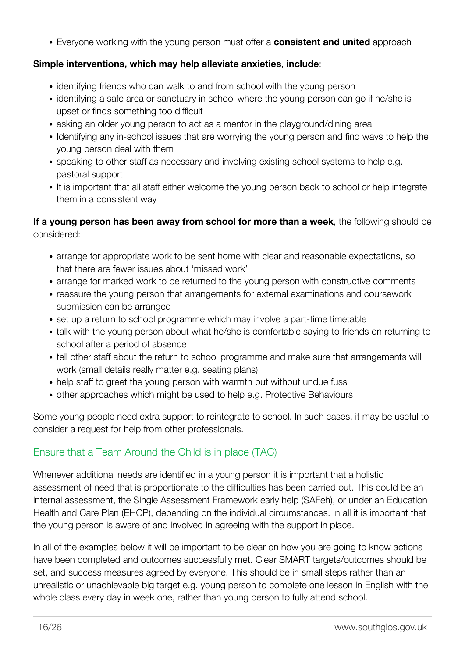Everyone working with the young person must offer a **consistent and united** approach

### **Simple interventions, which may help alleviate anxieties**, **include**:

- identifying friends who can walk to and from school with the young person
- identifying a safe area or sanctuary in school where the young person can go if he/she is upset or finds something too difficult
- asking an older young person to act as a mentor in the playground/dining area
- Identifying any in-school issues that are worrying the young person and find ways to help the young person deal with them
- speaking to other staff as necessary and involving existing school systems to help e.g. pastoral support
- It is important that all staff either welcome the young person back to school or help integrate them in a consistent way

### **If a young person has been away from school for more than a week**, the following should be considered:

- arrange for appropriate work to be sent home with clear and reasonable expectations, so that there are fewer issues about 'missed work'
- arrange for marked work to be returned to the young person with constructive comments
- reassure the young person that arrangements for external examinations and coursework submission can be arranged
- set up a return to school programme which may involve a part-time timetable
- talk with the young person about what he/she is comfortable saying to friends on returning to school after a period of absence
- tell other staff about the return to school programme and make sure that arrangements will work (small details really matter e.g. seating plans)
- help staff to greet the young person with warmth but without undue fuss
- other approaches which might be used to help e.g. Protective Behaviours

Some young people need extra support to reintegrate to school. In such cases, it may be useful to consider a request for help from other professionals.

### Ensure that a Team Around the Child is in place (TAC)

Whenever additional needs are identified in a young person it is important that a holistic assessment of need that is proportionate to the difficulties has been carried out. This could be an internal assessment, the Single Assessment Framework early help (SAFeh), or under an Education Health and Care Plan (EHCP), depending on the individual circumstances. In all it is important that the young person is aware of and involved in agreeing with the support in place.

In all of the examples below it will be important to be clear on how you are going to know actions have been completed and outcomes successfully met. Clear SMART targets/outcomes should be set, and success measures agreed by everyone. This should be in small steps rather than an unrealistic or unachievable big target e.g. young person to complete one lesson in English with the whole class every day in week one, rather than young person to fully attend school.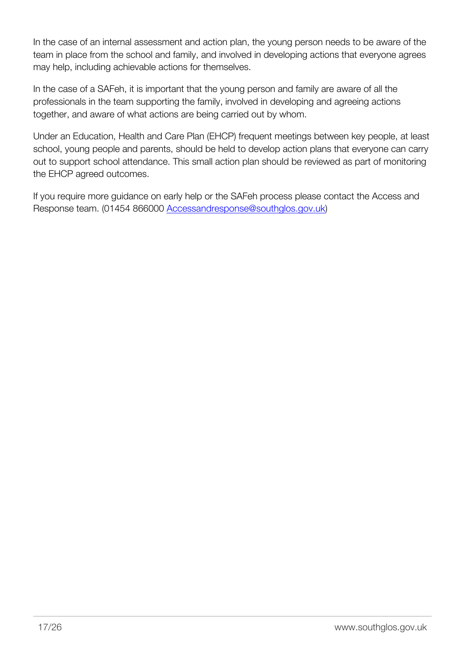In the case of an internal assessment and action plan, the young person needs to be aware of the team in place from the school and family, and involved in developing actions that everyone agrees may help, including achievable actions for themselves.

In the case of a SAFeh, it is important that the young person and family are aware of all the professionals in the team supporting the family, involved in developing and agreeing actions together, and aware of what actions are being carried out by whom.

Under an Education, Health and Care Plan (EHCP) frequent meetings between key people, at least school, young people and parents, should be held to develop action plans that everyone can carry out to support school attendance. This small action plan should be reviewed as part of monitoring the EHCP agreed outcomes.

If you require more guidance on early help or the SAFeh process please contact the Access and Response team. (01454 866000 [Accessandresponse@southglos.gov.uk](mailto:Accessandresponse@southglos.gov.uk))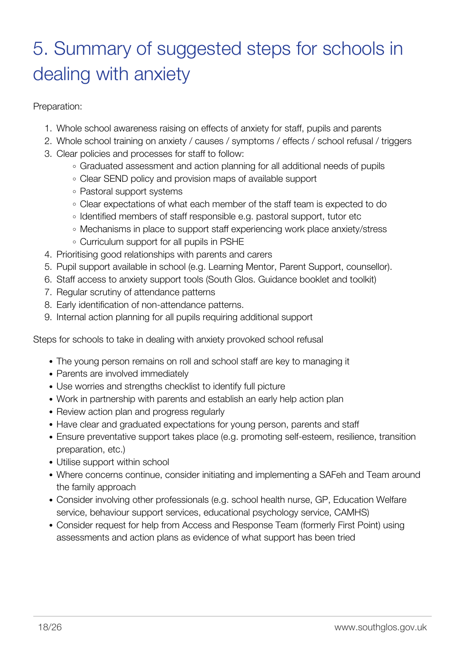# <span id="page-19-0"></span>5. Summary of suggested steps for schools in dealing with anxiety

Preparation:

- 1. Whole school awareness raising on effects of anxiety for staff, pupils and parents
- 2. Whole school training on anxiety / causes / symptoms / effects / school refusal / triggers
- 3. Clear policies and processes for staff to follow:
	- Graduated assessment and action planning for all additional needs of pupils
	- Clear SEND policy and provision maps of available support
	- Pastoral support systems
	- Clear expectations of what each member of the staff team is expected to do
	- Identified members of staff responsible e.g. pastoral support, tutor etc
	- Mechanisms in place to support staff experiencing work place anxiety/stress
	- Curriculum support for all pupils in PSHE
- 4. Prioritising good relationships with parents and carers
- 5. Pupil support available in school (e.g. Learning Mentor, Parent Support, counsellor).
- 6. Staff access to anxiety support tools (South Glos. Guidance booklet and toolkit)
- 7. Regular scrutiny of attendance patterns
- 8. Early identification of non-attendance patterns.
- 9. Internal action planning for all pupils requiring additional support

Steps for schools to take in dealing with anxiety provoked school refusal

- The young person remains on roll and school staff are key to managing it
- Parents are involved immediately
- Use worries and strengths checklist to identify full picture
- Work in partnership with parents and establish an early help action plan
- Review action plan and progress regularly
- Have clear and graduated expectations for young person, parents and staff
- Ensure preventative support takes place (e.g. promoting self-esteem, resilience, transition preparation, etc.)
- Utilise support within school
- Where concerns continue, consider initiating and implementing a SAFeh and Team around the family approach
- Consider involving other professionals (e.g. school health nurse, GP, Education Welfare service, behaviour support services, educational psychology service, CAMHS)
- Consider request for help from Access and Response Team (formerly First Point) using assessments and action plans as evidence of what support has been tried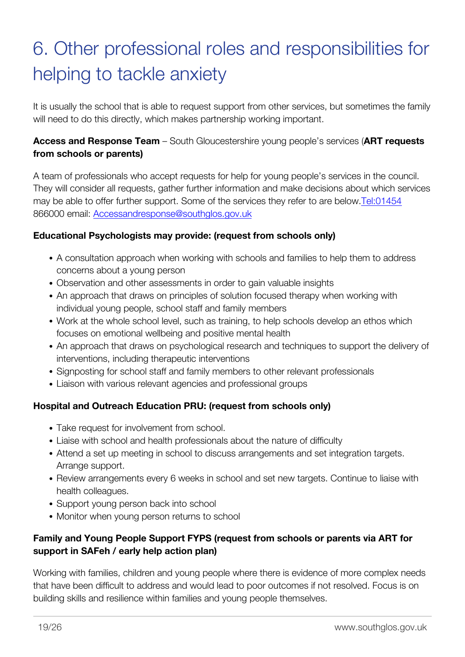# <span id="page-20-0"></span>6. Other professional roles and responsibilities for helping to tackle anxiety

It is usually the school that is able to request support from other services, but sometimes the family will need to do this directly, which makes partnership working important.

### **Access and Response Team** – South Gloucestershire young people's services (**ART requests from schools or parents)**

A team of professionals who accept requests for help for young people's services in the council. They will consider all requests, gather further information and make decisions about which services may be able to offer further support. Some of the services they refer to are below.[Tel:01454](https://edocs.southglos.gov.uk/Tel:01454) 866000 email: [Accessandresponse@southglos.gov.uk](mailto:Accessandresponse@southglos.gov.uk)

### **Educational Psychologists may provide: (request from schools only)**

- A consultation approach when working with schools and families to help them to address concerns about a young person
- Observation and other assessments in order to gain valuable insights
- An approach that draws on principles of solution focused therapy when working with individual young people, school staff and family members
- Work at the whole school level, such as training, to help schools develop an ethos which focuses on emotional wellbeing and positive mental health
- An approach that draws on psychological research and techniques to support the delivery of interventions, including therapeutic interventions
- Signposting for school staff and family members to other relevant professionals
- Liaison with various relevant agencies and professional groups

### **Hospital and Outreach Education PRU: (request from schools only)**

- Take request for involvement from school.
- Liaise with school and health professionals about the nature of difficulty
- Attend a set up meeting in school to discuss arrangements and set integration targets. Arrange support.
- Review arrangements every 6 weeks in school and set new targets. Continue to liaise with health colleagues.
- Support young person back into school
- Monitor when young person returns to school

### **Family and Young People Support FYPS (request from schools or parents via ART for support in SAFeh / early help action plan)**

Working with families, children and young people where there is evidence of more complex needs that have been difficult to address and would lead to poor outcomes if not resolved. Focus is on building skills and resilience within families and young people themselves.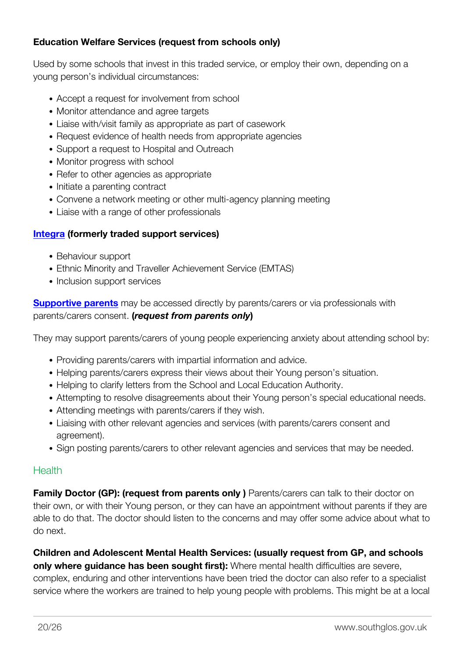### **Education Welfare Services (request from schools only)**

Used by some schools that invest in this traded service, or employ their own, depending on a young person's individual circumstances:

- Accept a request for involvement from school
- Monitor attendance and agree targets
- Liaise with/visit family as appropriate as part of casework
- Request evidence of health needs from appropriate agencies
- Support a request to Hospital and Outreach
- Monitor progress with school
- Refer to other agencies as appropriate
- Initiate a parenting contract
- Convene a network meeting or other multi-agency planning meeting
- Liaise with a range of other professionals

### **[Integra](http://www.integra.co.uk/) (formerly traded support services)**

- Behaviour support
- Ethnic Minority and Traveller Achievement Service (EMTAS)
- Inclusion support services

**[Supportive parents](http://www.supportiveparents.org.uk/)** may be accessed directly by parents/carers or via professionals with parents/carers consent. **(***request from parents only***)**

They may support parents/carers of young people experiencing anxiety about attending school by:

- Providing parents/carers with impartial information and advice.
- Helping parents/carers express their views about their Young person's situation.
- Helping to clarify letters from the School and Local Education Authority.
- Attempting to resolve disagreements about their Young person's special educational needs.
- Attending meetings with parents/carers if they wish.
- Liaising with other relevant agencies and services (with parents/carers consent and agreement).
- Sign posting parents/carers to other relevant agencies and services that may be needed.

### **Health**

**Family Doctor (GP): (request from parents only )** Parents/carers can talk to their doctor on their own, or with their Young person, or they can have an appointment without parents if they are able to do that. The doctor should listen to the concerns and may offer some advice about what to do next.

**Children and Adolescent Mental Health Services: (usually request from GP, and schools only where guidance has been sought first):** Where mental health difficulties are severe, complex, enduring and other interventions have been tried the doctor can also refer to a specialist service where the workers are trained to help young people with problems. This might be at a local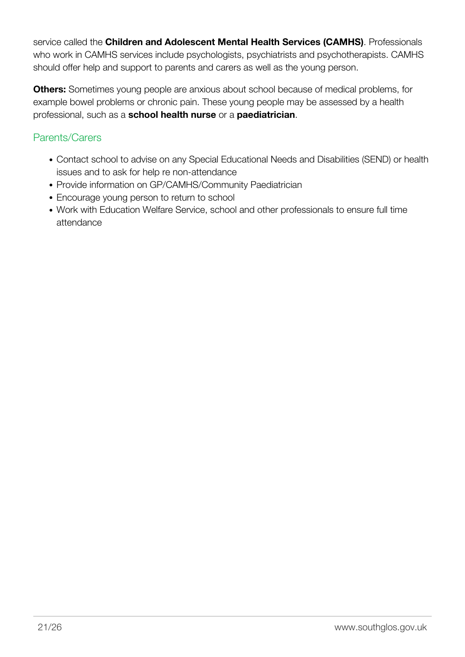service called the **Children and Adolescent Mental Health Services (CAMHS)**. Professionals who work in CAMHS services include psychologists, psychiatrists and psychotherapists. CAMHS should offer help and support to parents and carers as well as the young person.

**Others:** Sometimes young people are anxious about school because of medical problems, for example bowel problems or chronic pain. These young people may be assessed by a health professional, such as a **school health nurse** or a **paediatrician**.

### Parents/Carers

- Contact school to advise on any Special Educational Needs and Disabilities (SEND) or health issues and to ask for help re non-attendance
- Provide information on GP/CAMHS/Community Paediatrician
- Encourage young person to return to school
- Work with Education Welfare Service, school and other professionals to ensure full time attendance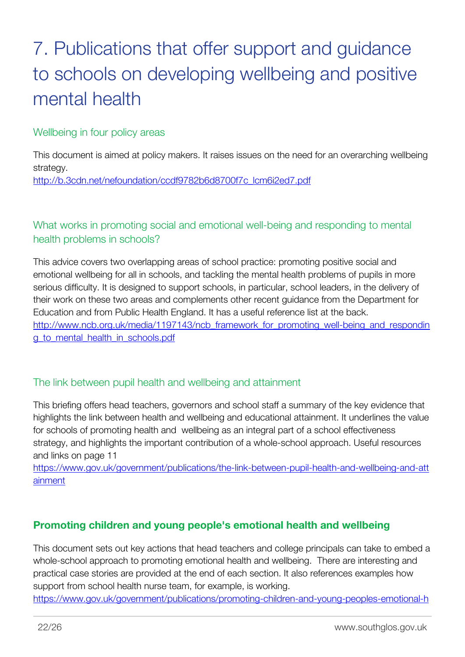# <span id="page-23-0"></span>7. Publications that offer support and guidance to schools on developing wellbeing and positive mental health

### Wellbeing in four policy areas

This document is aimed at policy makers. It raises issues on the need for an overarching wellbeing strategy.

[http://b.3cdn.net/nefoundation/ccdf9782b6d8700f7c\\_lcm6i2ed7.pdf](http://b.3cdn.net/nefoundation/ccdf9782b6d8700f7c_lcm6i2ed7.pdf)

What works in promoting social and emotional well-being and responding to mental health problems in schools?

This advice covers two overlapping areas of school practice: promoting positive social and emotional wellbeing for all in schools, and tackling the mental health problems of pupils in more serious difficulty. It is designed to support schools, in particular, school leaders, in the delivery of their work on these two areas and complements other recent guidance from the Department for Education and from Public Health England. It has a useful reference list at the back. [http://www.ncb.org.uk/media/1197143/ncb\\_framework\\_for\\_promoting\\_well-being\\_and\\_respondin](http://www.ncb.org.uk/media/1197143/ncb_framework_for_promoting_well-being_and_responding_to_mental_health_in_schools.pdf) [g\\_to\\_mental\\_health\\_in\\_schools.pdf](http://www.ncb.org.uk/media/1197143/ncb_framework_for_promoting_well-being_and_responding_to_mental_health_in_schools.pdf)

### The link between pupil health and wellbeing and attainment

This briefing offers head teachers, governors and school staff a summary of the key evidence that highlights the link between health and wellbeing and educational attainment. It underlines the value for schools of promoting health and wellbeing as an integral part of a school effectiveness strategy, and highlights the important contribution of a whole-school approach. Useful resources and links on page 11

[https://www.gov.uk/government/publications/the-link-between-pupil-health-and-wellbeing-and-att](https://www.gov.uk/government/publications/the-link-between-pupil-health-and-wellbeing-and-attainment) [ainment](https://www.gov.uk/government/publications/the-link-between-pupil-health-and-wellbeing-and-attainment)

### **Promoting children and young people's emotional health and wellbeing**

This document sets out key actions that head teachers and college principals can take to embed a whole-school approach to promoting emotional health and wellbeing. There are interesting and practical case stories are provided at the end of each section. It also references examples how support from school health nurse team, for example, is working.

[https://www.gov.uk/government/publications/promoting-children-and-young-peoples-emotional-h](https://www.gov.uk/government/publications/promoting-children-and-young-peoples-emotional-health-and-wellbeing)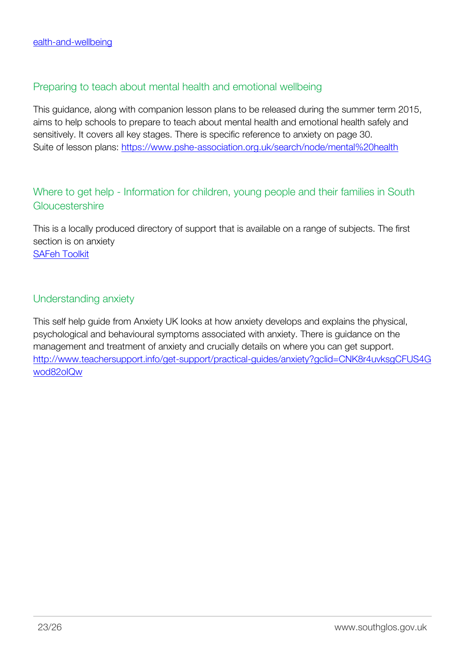### Preparing to teach about mental health and emotional wellbeing

This guidance, along with companion lesson plans to be released during the summer term 2015, aims to help schools to prepare to teach about mental health and emotional health safely and sensitively. It covers all key stages. There is specific reference to anxiety on page 30. Suite of lesson plans: <https://www.pshe-association.org.uk/search/node/mental%20health>

### Where to get help - Information for children, young people and their families in South Gloucestershire

This is a locally produced directory of support that is available on a range of subjects. The first section is on anxiety [SAFeh Toolkit](http://sites.southglos.gov.uk/safeguarding/children/i-am-a-professional/single-assessment-for-early-help-safeh-toolkit/)

### Understanding anxiety

This self help guide from Anxiety UK looks at how anxiety develops and explains the physical, psychological and behavioural symptoms associated with anxiety. There is guidance on the management and treatment of anxiety and crucially details on where you can get support. [http://www.teachersupport.info/get-support/practical-guides/anxiety?gclid=CNK8r4uvksgCFUS4G](http://www.teachersupport.info/get-support/practical-guides/anxiety?gclid=CNK8r4uvksgCFUS4Gwod82oIQw) [wod82oIQw](http://www.teachersupport.info/get-support/practical-guides/anxiety?gclid=CNK8r4uvksgCFUS4Gwod82oIQw)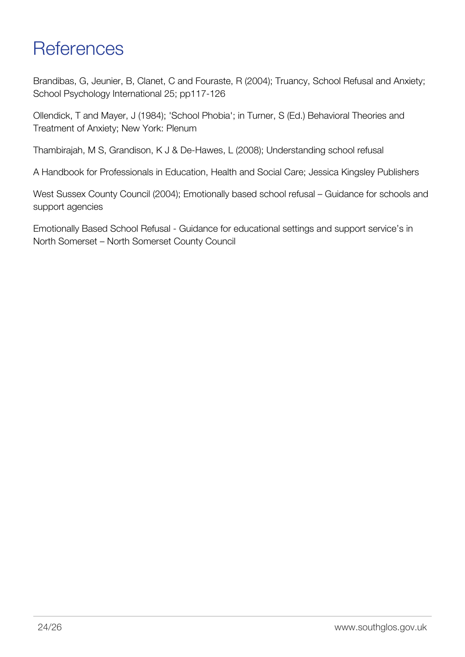### <span id="page-25-0"></span>**References**

Brandibas, G, Jeunier, B, Clanet, C and Fouraste, R (2004); Truancy, School Refusal and Anxiety; School Psychology International 25; pp117-126

Ollendick, T and Mayer, J (1984); 'School Phobia'; in Turner, S (Ed.) Behavioral Theories and Treatment of Anxiety; New York: Plenum

Thambirajah, M S, Grandison, K J & De-Hawes, L (2008); Understanding school refusal

A Handbook for Professionals in Education, Health and Social Care; Jessica Kingsley Publishers

West Sussex County Council (2004); Emotionally based school refusal – Guidance for schools and support agencies

Emotionally Based School Refusal - Guidance for educational settings and support service's in North Somerset – North Somerset County Council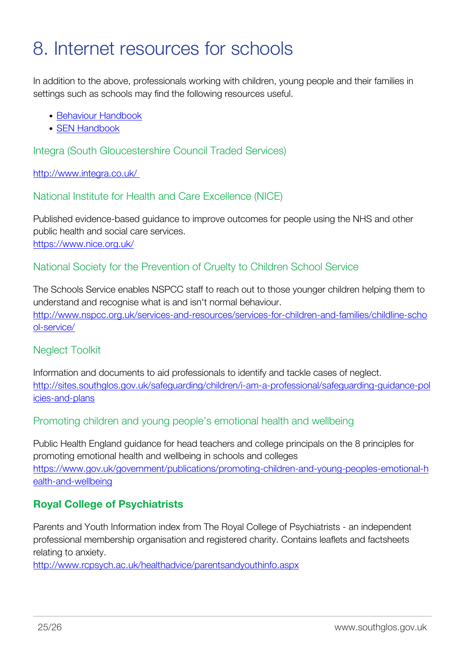### <span id="page-26-0"></span>8. Internet resources for schools

In addition to the above, professionals working with children, young people and their families in settings such as schools may find the following resources useful.

- [Behaviour Handbook](http://sites.southglos.gov.uk/safeguarding/wp-content/uploads/sites/221/2015/05/behaviour-handbook-18-may1.doc)
- [SEN Handbook](http://sites.southglos.gov.uk/safeguarding/wp-content/uploads/sites/221/2015/05/SEN-Handbook-Nov-15.docx)

Integra (South Gloucestershire Council Traded Services)

<http://www.integra.co.uk/>

National Institute for Health and Care Excellence (NICE)

Published evidence-based guidance to improve outcomes for people using the NHS and other public health and social care services. <https://www.nice.org.uk/>

### National Society for the Prevention of Cruelty to Children School Service

The Schools Service enables NSPCC staff to reach out to those younger children helping them to understand and recognise what is and isn't normal behaviour. [http://www.nspcc.org.uk/services-and-resources/services-for-children-and-families/childline-scho](http://www.nspcc.org.uk/services-and-resources/services-for-children-and-families/childline-school-service/) [ol-service/](http://www.nspcc.org.uk/services-and-resources/services-for-children-and-families/childline-school-service/)

### Neglect Toolkit

Information and documents to aid professionals to identify and tackle cases of neglect. [http://sites.southglos.gov.uk/safeguarding/children/i-am-a-professional/safeguarding-guidance-pol](http://sites.southglos.gov.uk/safeguarding/children/i-am-a-professional/safeguarding-guidance-policies-and-plans) [icies-and-plans](http://sites.southglos.gov.uk/safeguarding/children/i-am-a-professional/safeguarding-guidance-policies-and-plans)

Promoting children and young people's emotional health and wellbeing

Public Health England guidance for head teachers and college principals on the 8 principles for promoting emotional health and wellbeing in schools and colleges [https://www.gov.uk/government/publications/promoting-children-and-young-peoples-emotional-h](https://www.gov.uk/government/publications/promoting-children-and-young-peoples-emotional-health-and-wellbeing) [ealth-and-wellbeing](https://www.gov.uk/government/publications/promoting-children-and-young-peoples-emotional-health-and-wellbeing)

### **Royal College of Psychiatrists**

Parents and Youth Information index from The Royal College of Psychiatrists - an independent professional membership organisation and registered charity. Contains leaflets and factsheets relating to anxiety.

<http://www.rcpsych.ac.uk/healthadvice/parentsandyouthinfo.aspx>